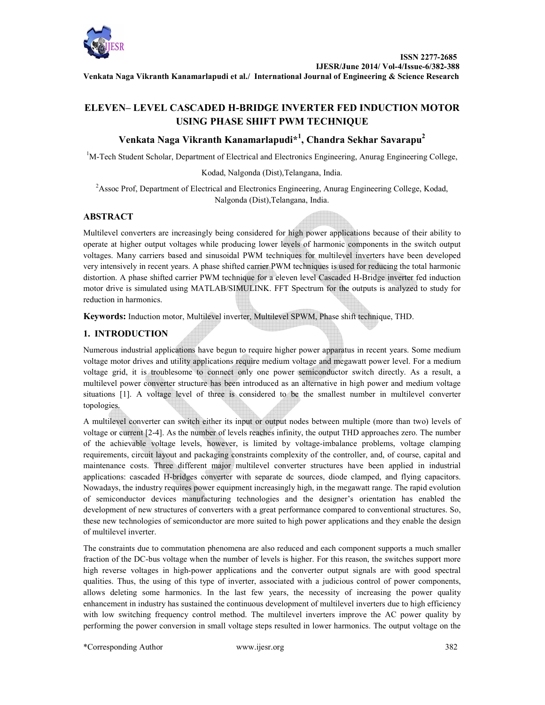

**Venkata Naga Vikranth Kanamarlapudi et al./ International Journal of Engineering & Science Research**

# **ELEVEN– LEVEL CASCADED H-BRIDGE INVERTER FED INDUCTION MOTOR USING PHASE SHIFT PWM TECHNIQUE**

# **Venkata Naga Vikranth Kanamarlapudi\*<sup>1</sup> , Chandra Sekhar Savarapu<sup>2</sup>**

<sup>1</sup>M-Tech Student Scholar, Department of Electrical and Electronics Engineering, Anurag Engineering College,

Kodad, Nalgonda (Dist),Telangana, India.

<sup>2</sup>Assoc Prof, Department of Electrical and Electronics Engineering, Anurag Engineering College, Kodad, Nalgonda (Dist),Telangana, India.

## **ABSTRACT**

Multilevel converters are increasingly being considered for high power applications because of their ability to operate at higher output voltages while producing lower levels of harmonic components in the switch output voltages. Many carriers based and sinusoidal PWM techniques for multilevel inverters have been developed very intensively in recent years. A phase shifted carrier PWM techniques is used for reducing the total harmonic distortion. A phase shifted carrier PWM technique for a eleven level Cascaded H-Bridge inverter fed induction motor drive is simulated using MATLAB/SIMULINK. FFT Spectrum for the outputs is analyzed to study for reduction in harmonics.

**Keywords:** Induction motor, Multilevel inverter, Multilevel SPWM, Phase shift technique, THD.

## **1. INTRODUCTION**

Numerous industrial applications have begun to require higher power apparatus in recent years. Some medium voltage motor drives and utility applications require medium voltage and megawatt power level. For a medium voltage grid, it is troublesome to connect only one power semiconductor switch directly. As a result, a multilevel power converter structure has been introduced as an alternative in high power and medium voltage situations [1]. A voltage level of three is considered to be the smallest number in multilevel converter topologies.

A multilevel converter can switch either its input or output nodes between multiple (more than two) levels of voltage or current [2-4]. As the number of levels reaches infinity, the output THD approaches zero. The number of the achievable voltage levels, however, is limited by voltage-imbalance problems, voltage clamping requirements, circuit layout and packaging constraints complexity of the controller, and, of course, capital and maintenance costs. Three different major multilevel converter structures have been applied in industrial applications: cascaded H-bridges converter with separate dc sources, diode clamped, and flying capacitors. Nowadays, the industry requires power equipment increasingly high, in the megawatt range. The rapid evolution of semiconductor devices manufacturing technologies and the designer's orientation has enabled the development of new structures of converters with a great performance compared to conventional structures. So, these new technologies of semiconductor are more suited to high power applications and they enable the design of multilevel inverter.

The constraints due to commutation phenomena are also reduced and each component supports a much smaller fraction of the DC-bus voltage when the number of levels is higher. For this reason, the switches support more high reverse voltages in high-power applications and the converter output signals are with good spectral qualities. Thus, the using of this type of inverter, associated with a judicious control of power components, allows deleting some harmonics. In the last few years, the necessity of increasing the power quality enhancement in industry has sustained the continuous development of multilevel inverters due to high efficiency with low switching frequency control method. The multilevel inverters improve the AC power quality by performing the power conversion in small voltage steps resulted in lower harmonics. The output voltage on the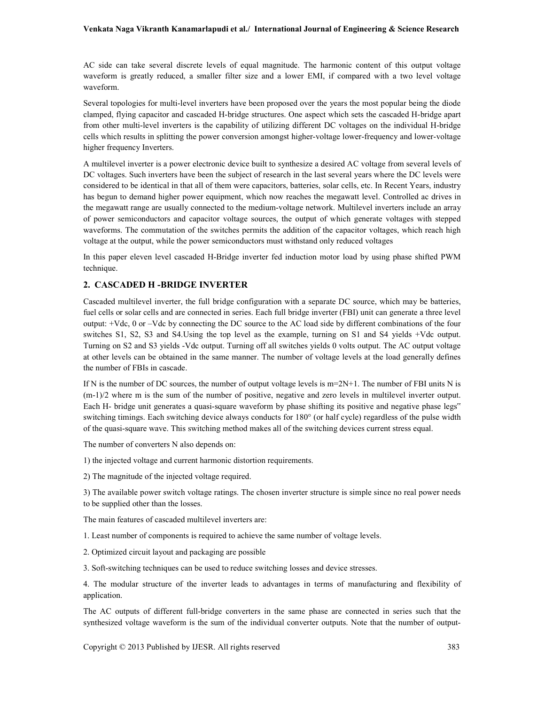#### **Venkata Naga Vikranth Kanamarlapudi et al./ International Journal of Engineering & Science Research**

AC side can take several discrete levels of equal magnitude. The harmonic content of this output voltage waveform is greatly reduced, a smaller filter size and a lower EMI, if compared with a two level voltage waveform.

Several topologies for multi-level inverters have been proposed over the years the most popular being the diode clamped, flying capacitor and cascaded H-bridge structures. One aspect which sets the cascaded H-bridge apart from other multi-level inverters is the capability of utilizing different DC voltages on the individual H-bridge cells which results in splitting the power conversion amongst higher-voltage lower-frequency and lower-voltage higher frequency Inverters.

A multilevel inverter is a power electronic device built to synthesize a desired AC voltage from several levels of DC voltages. Such inverters have been the subject of research in the last several years where the DC levels were considered to be identical in that all of them were capacitors, batteries, solar cells, etc. In Recent Years, industry has begun to demand higher power equipment, which now reaches the megawatt level. Controlled ac drives in the megawatt range are usually connected to the medium-voltage network. Multilevel inverters include an array of power semiconductors and capacitor voltage sources, the output of which generate voltages with stepped waveforms. The commutation of the switches permits the addition of the capacitor voltages, which reach high voltage at the output, while the power semiconductors must withstand only reduced voltages

In this paper eleven level cascaded H-Bridge inverter fed induction motor load by using phase shifted PWM technique.

### **2. CASCADED H -BRIDGE INVERTER**

Cascaded multilevel inverter, the full bridge configuration with a separate DC source, which may be batteries, fuel cells or solar cells and are connected in series. Each full bridge inverter (FBI) unit can generate a three level output: +Vdc, 0 or –Vdc by connecting the DC source to the AC load side by different combinations of the four switches S1, S2, S3 and S4.Using the top level as the example, turning on S1 and S4 yields +Vdc output. Turning on S2 and S3 yields -Vdc output. Turning off all switches yields 0 volts output. The AC output voltage at other levels can be obtained in the same manner. The number of voltage levels at the load generally defines the number of FBIs in cascade.

If N is the number of DC sources, the number of output voltage levels is m=2N+1. The number of FBI units N is (m-1)/2 where m is the sum of the number of positive, negative and zero levels in multilevel inverter output. Each H- bridge unit generates a quasi-square waveform by phase shifting its positive and negative phase legs" switching timings. Each switching device always conducts for 180° (or half cycle) regardless of the pulse width of the quasi-square wave. This switching method makes all of the switching devices current stress equal.

The number of converters N also depends on:

1) the injected voltage and current harmonic distortion requirements.

2) The magnitude of the injected voltage required.

3) The available power switch voltage ratings. The chosen inverter structure is simple since no real power needs to be supplied other than the losses.

The main features of cascaded multilevel inverters are:

1. Least number of components is required to achieve the same number of voltage levels.

2. Optimized circuit layout and packaging are possible

3. Soft-switching techniques can be used to reduce switching losses and device stresses.

4. The modular structure of the inverter leads to advantages in terms of manufacturing and flexibility of application.

The AC outputs of different full-bridge converters in the same phase are connected in series such that the synthesized voltage waveform is the sum of the individual converter outputs. Note that the number of output-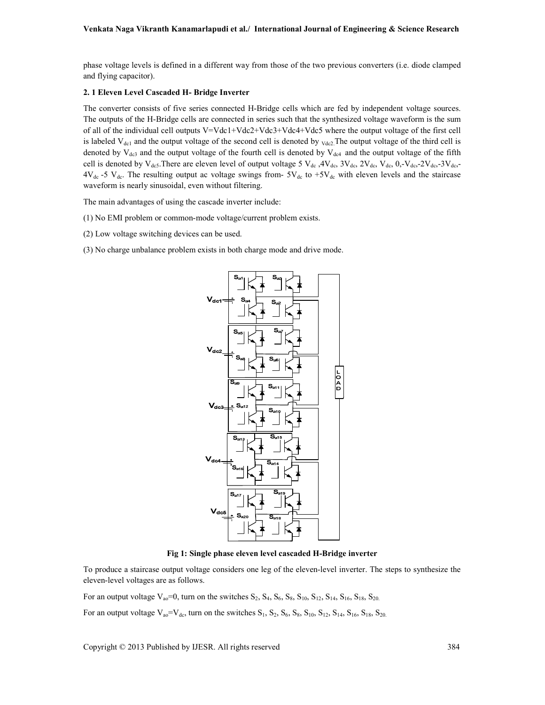phase voltage levels is defined in a different way from those of the two previous converters (i.e. diode clamped and flying capacitor).

#### **2. 1 Eleven Level Cascaded H- Bridge Inverter**

The converter consists of five series connected H-Bridge cells which are fed by independent voltage sources. The outputs of the H-Bridge cells are connected in series such that the synthesized voltage waveform is the sum of all of the individual cell outputs V=Vdc1+Vdc2+Vdc3+Vdc4+Vdc5 where the output voltage of the first cell is labeled  $V_{\text{del}}$  and the output voltage of the second cell is denoted by  $_{\text{Vdc2}}$ . The output voltage of the third cell is denoted by  $V_{dc3}$  and the output voltage of the fourth cell is denoted by  $V_{dc4}$  and the output voltage of the fifth cell is denoted by  $V_{dc5}$ . There are eleven level of output voltage 5  $V_{dc}$ ,  $4V_{dc}$ ,  $3V_{dc}$ ,  $2V_{dc}$ ,  $V_{dc}$ ,  $0$ ,  $V_{dc}$ ,  $2V_{dc}$ ,  $-3V_{dc}$ ,  $-3V_{dc}$ ,  $-3V_{dc}$  $4V_{dc}$  -5  $V_{dc}$ . The resulting output ac voltage swings from-  $5V_{dc}$  to  $+5V_{dc}$  with eleven levels and the staircase waveform is nearly sinusoidal, even without filtering.

The main advantages of using the cascade inverter include:

- (1) No EMI problem or common-mode voltage/current problem exists.
- (2) Low voltage switching devices can be used.
- (3) No charge unbalance problem exists in both charge mode and drive mode.



**Fig 1: Single phase eleven level cascaded H-Bridge inverter** 

To produce a staircase output voltage considers one leg of the eleven-level inverter. The steps to synthesize the eleven-level voltages are as follows.

For an output voltage  $V_{ao} = 0$ , turn on the switches  $S_2$ ,  $S_4$ ,  $S_6$ ,  $S_8$ ,  $S_{10}$ ,  $S_{12}$ ,  $S_{14}$ ,  $S_{16}$ ,  $S_{18}$ ,  $S_{20}$ 

For an output voltage  $V_{ao} = V_{dc}$ , turn on the switches  $S_1$ ,  $S_2$ ,  $S_6$ ,  $S_8$ ,  $S_{10}$ ,  $S_{12}$ ,  $S_{14}$ ,  $S_{16}$ ,  $S_{18}$ ,  $S_{20}$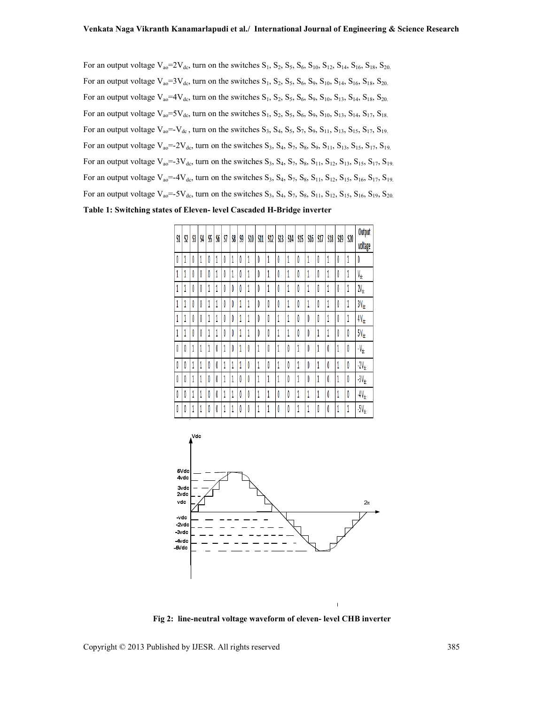For an output voltage  $V_{ao} = 2V_{dc}$ , turn on the switches  $S_1$ ,  $S_2$ ,  $S_5$ ,  $S_6$ ,  $S_{10}$ ,  $S_{12}$ ,  $S_{14}$ ,  $S_{16}$ ,  $S_{18}$ ,  $S_{20}$ For an output voltage  $V_{ao} = 3V_{dc}$ , turn on the switches  $S_1$ ,  $S_2$ ,  $S_5$ ,  $S_6$ ,  $S_9$ ,  $S_{10}$ ,  $S_{14}$ ,  $S_{16}$ ,  $S_{18}$ ,  $S_{20}$ For an output voltage  $V_{ao} = 4V_{dc}$ , turn on the switches  $S_1$ ,  $S_2$ ,  $S_5$ ,  $S_6$ ,  $S_9$ ,  $S_{10}$ ,  $S_{13}$ ,  $S_{14}$ ,  $S_{18}$ ,  $S_{20}$ For an output voltage  $V_{ao} = 5V_{dc}$ , turn on the switches  $S_1$ ,  $S_2$ ,  $S_5$ ,  $S_6$ ,  $S_9$ ,  $S_{10}$ ,  $S_{13}$ ,  $S_{14}$ ,  $S_{17}$ ,  $S_{18}$ . For an output voltage  $V_{ao} = V_{dc}$ , turn on the switches  $S_3$ ,  $S_4$ ,  $S_5$ ,  $S_7$ ,  $S_9$ ,  $S_{11}$ ,  $S_{13}$ ,  $S_{15}$ ,  $S_{17}$ ,  $S_{19}$ For an output voltage  $V_{ao} = -2V_{dc}$ , turn on the switches  $S_3$ ,  $S_4$ ,  $S_7$ ,  $S_8$ ,  $S_9$ ,  $S_{11}$ ,  $S_{13}$ ,  $S_{15}$ ,  $S_{17}$ ,  $S_{19}$ For an output voltage  $V_{ao} = -3V_{dc}$ , turn on the switches  $S_3$ ,  $S_4$ ,  $S_7$ ,  $S_8$ ,  $S_{11}$ ,  $S_{12}$ ,  $S_{13}$ ,  $S_{15}$ ,  $S_{17}$ ,  $S_{19}$ For an output voltage  $V_{ao} = 4V_{dc}$ , turn on the switches  $S_3$ ,  $S_4$ ,  $S_7$ ,  $S_8$ ,  $S_{11}$ ,  $S_{12}$ ,  $S_{15}$ ,  $S_{16}$ ,  $S_{17}$ ,  $S_{19}$ For an output voltage  $V_{a0}$  = -5 $V_{dc}$ , turn on the switches  $S_3$ ,  $S_4$ ,  $S_7$ ,  $S_8$ ,  $S_{11}$ ,  $S_{12}$ ,  $S_{15}$ ,  $S_{16}$ ,  $S_{19}$ ,  $S_{20}$ **Table 1: Switching states of Eleven- level Cascaded H-Bridge inverter** 





**Fig 2: line-neutral voltage waveform of eleven- level CHB inverter**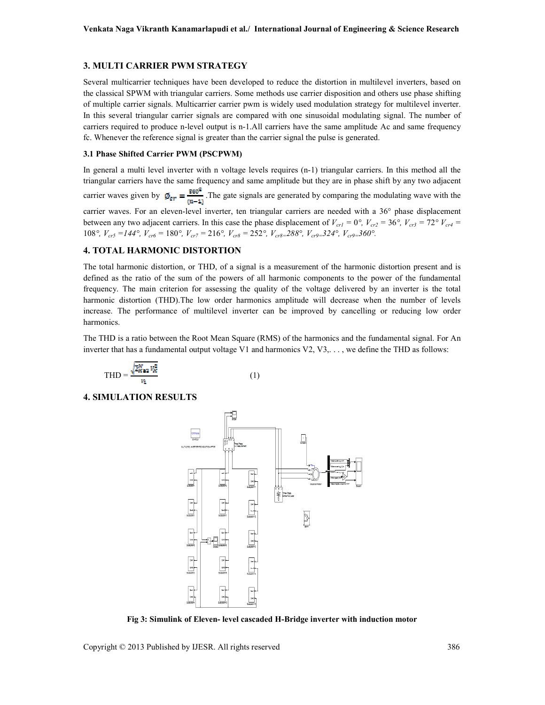#### **3. MULTI CARRIER PWM STRATEGY**

Several multicarrier techniques have been developed to reduce the distortion in multilevel inverters, based on the classical SPWM with triangular carriers. Some methods use carrier disposition and others use phase shifting of multiple carrier signals. Multicarrier carrier pwm is widely used modulation strategy for multilevel inverter. In this several triangular carrier signals are compared with one sinusoidal modulating signal. The number of carriers required to produce n-level output is n-1.All carriers have the same amplitude Ac and same frequency fc. Whenever the reference signal is greater than the carrier signal the pulse is generated.

#### **3.1 Phase Shifted Carrier PWM (PSCPWM)**

In general a multi level inverter with n voltage levels requires (n-1) triangular carriers. In this method all the triangular carriers have the same frequency and same amplitude but they are in phase shift by any two adjacent carrier waves given by  $\phi_{\text{cr}} = \frac{360^{\circ}}{(n-1)}$ . The gate signals are generated by comparing the modulating wave with the carrier waves. For an eleven-level inverter, ten triangular carriers are needed with a 36° phase displacement between any two adjacent carriers. In this case the phase displacement of  $V_{crl} = 0^\circ$ ,  $V_{cr2} = 36^\circ$ ,  $V_{cr3} = 72^\circ V_{cr4} =$ 108*°, Vcr5 =144°, Vcr6 =* 180*°, Vcr7 =* 216*°, Vcr8 =* 252*°, Vcr8=288°, Vcr9=324°, Vcr9=360°.* 

### **4. TOTAL HARMONIC DISTORTION**

The total harmonic distortion, or THD, of a signal is a measurement of the harmonic distortion present and is defined as the ratio of the sum of the powers of all harmonic components to the power of the fundamental frequency. The main criterion for assessing the quality of the voltage delivered by an inverter is the total harmonic distortion (THD).The low order harmonics amplitude will decrease when the number of levels increase. The performance of multilevel inverter can be improved by cancelling or reducing low order harmonics.

The THD is a ratio between the Root Mean Square (RMS) of the harmonics and the fundamental signal. For An inverter that has a fundamental output voltage V1 and harmonics V2, V3,. . . , we define the THD as follows:

$$
THD = \frac{\sqrt{\sum_{K=2}^{N} v_K^2}}{v_1} \tag{1}
$$

**4. SIMULATION RESULTS** 



**Fig 3: Simulink of Eleven- level cascaded H-Bridge inverter with induction motor**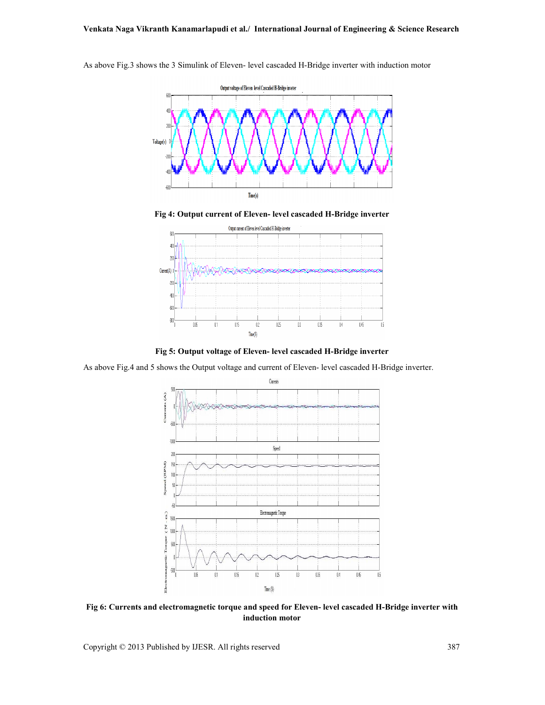

As above Fig.3 shows the 3 Simulink of Eleven- level cascaded H-Bridge inverter with induction motor

**Fig 4: Output current of Eleven- level cascaded H-Bridge inverter** 



**Fig 5: Output voltage of Eleven- level cascaded H-Bridge inverter** 

As above Fig.4 and 5 shows the Output voltage and current of Eleven- level cascaded H-Bridge inverter.



**Fig 6: Currents and electromagnetic torque and speed for Eleven- level cascaded H-Bridge inverter with induction motor**